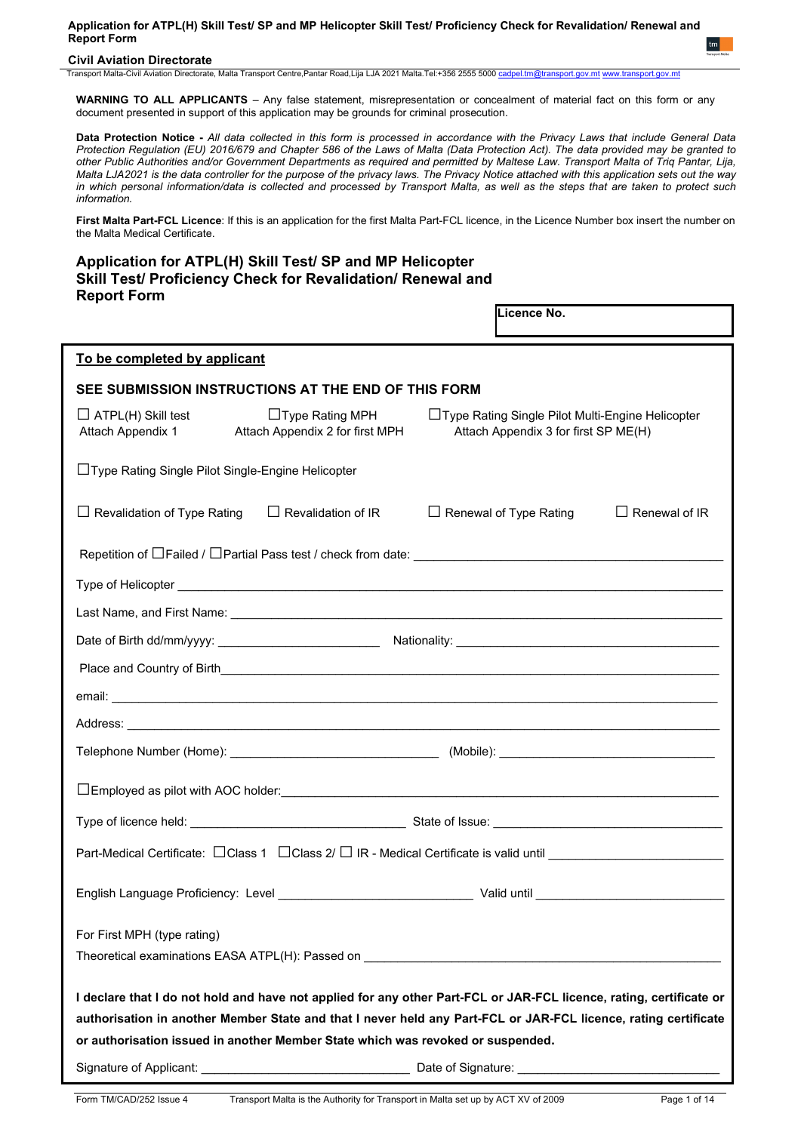## **Civil Aviation Directorate**

Transport Malta-Civil Aviation Directorate, Malta Transport Centre,Pantar Road,Lija LJA 2021 Malta.Tel:+356 2555 5000

**WARNING TO ALL APPLICANTS** – Any false statement, misrepresentation or concealment of material fact on this form or any document presented in support of this application may be grounds for criminal prosecution.

**Data Protection Notice -** *All data collected in this form is processed in accordance with the Privacy Laws that include General Data Protection Regulation (EU) 2016/679 and Chapter 586 of the Laws of Malta (Data Protection Act). The data provided may be granted to other Public Authorities and/or Government Departments as required and permitted by Maltese Law. Transport Malta of Triq Pantar, Lija, Malta LJA2021 is the data controller for the purpose of the privacy laws. The Privacy Notice attached with this application sets out the way in which personal information/data is collected and processed by Transport Malta, as well as the steps that are taken to protect such information.*

**First Malta Part-FCL Licence**: If this is an application for the first Malta Part-FCL licence, in the Licence Number box insert the number on the Malta Medical Certificate.

## **Application for ATPL(H) Skill Test/ SP and MP Helicopter Skill Test/ Proficiency Check for Revalidation/ Renewal and Report Form Licence No.**

| SEE SUBMISSION INSTRUCTIONS AT THE END OF THIS FORM                                                                                                                                                                                                                                                                       |  |  |  |  |  |
|---------------------------------------------------------------------------------------------------------------------------------------------------------------------------------------------------------------------------------------------------------------------------------------------------------------------------|--|--|--|--|--|
| □ Type Rating Single Pilot Multi-Engine Helicopter<br>Attach Appendix 3 for first SP ME(H)                                                                                                                                                                                                                                |  |  |  |  |  |
|                                                                                                                                                                                                                                                                                                                           |  |  |  |  |  |
| $\Box$ Renewal of Type Rating<br>$\Box$ Renewal of IR                                                                                                                                                                                                                                                                     |  |  |  |  |  |
|                                                                                                                                                                                                                                                                                                                           |  |  |  |  |  |
|                                                                                                                                                                                                                                                                                                                           |  |  |  |  |  |
|                                                                                                                                                                                                                                                                                                                           |  |  |  |  |  |
|                                                                                                                                                                                                                                                                                                                           |  |  |  |  |  |
|                                                                                                                                                                                                                                                                                                                           |  |  |  |  |  |
|                                                                                                                                                                                                                                                                                                                           |  |  |  |  |  |
|                                                                                                                                                                                                                                                                                                                           |  |  |  |  |  |
|                                                                                                                                                                                                                                                                                                                           |  |  |  |  |  |
|                                                                                                                                                                                                                                                                                                                           |  |  |  |  |  |
|                                                                                                                                                                                                                                                                                                                           |  |  |  |  |  |
|                                                                                                                                                                                                                                                                                                                           |  |  |  |  |  |
|                                                                                                                                                                                                                                                                                                                           |  |  |  |  |  |
|                                                                                                                                                                                                                                                                                                                           |  |  |  |  |  |
| I declare that I do not hold and have not applied for any other Part-FCL or JAR-FCL licence, rating, certificate or<br>authorisation in another Member State and that I never held any Part-FCL or JAR-FCL licence, rating certificate<br>or authorisation issued in another Member State which was revoked or suspended. |  |  |  |  |  |
|                                                                                                                                                                                                                                                                                                                           |  |  |  |  |  |
|                                                                                                                                                                                                                                                                                                                           |  |  |  |  |  |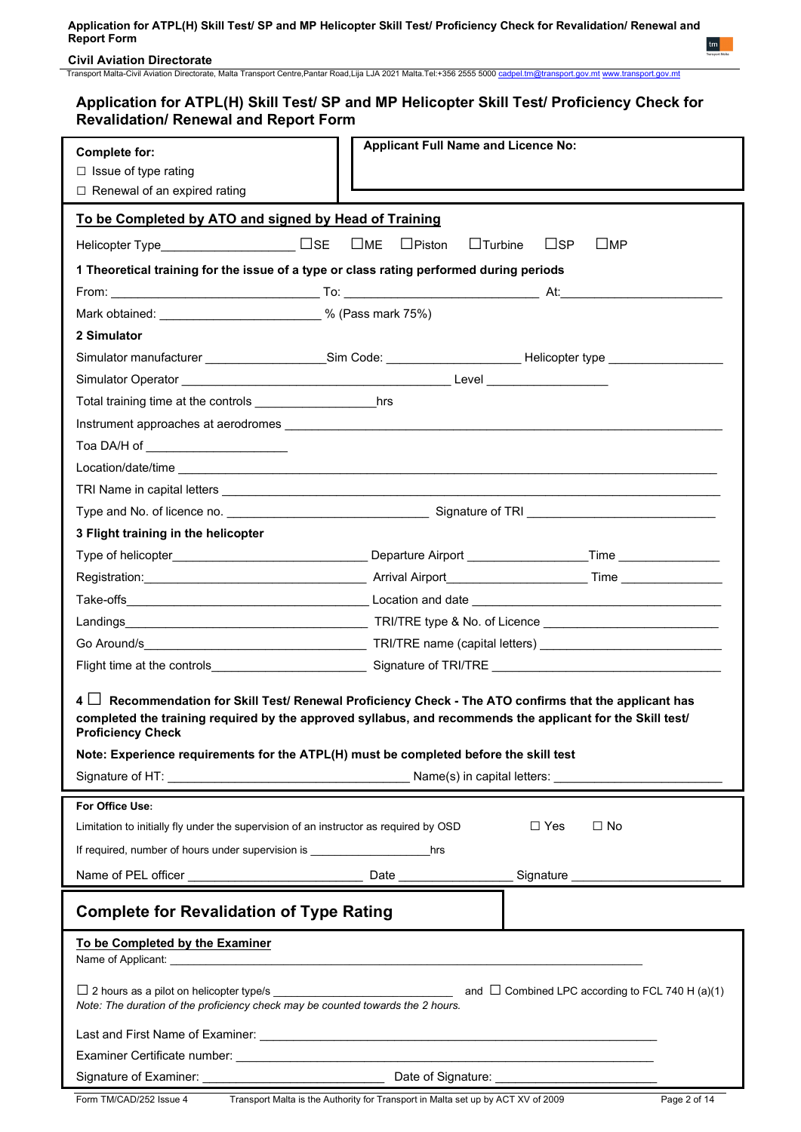**Civil Aviation Directorate**

Transport Malta-Civil Aviation Directorate, Malta Transport Centre,Pantar Road,Lija LJA 2021 Malta.Tel:+356 2555 5000 [cadpel.tm@transport.gov.mt](mailto:cadpel.tm@transport.gov.mt) [www.transport.gov.mt](http://www.transport.gov.mt/)

# **Application for ATPL(H) Skill Test/ SP and MP Helicopter Skill Test/ Proficiency Check for Revalidation/ Renewal and Report Form**

| <b>Complete for:</b>                                                                                                                                                                                                                                                                                                                                  | <b>Applicant Full Name and Licence No:</b>      |                                  |  |  |  |  |  |
|-------------------------------------------------------------------------------------------------------------------------------------------------------------------------------------------------------------------------------------------------------------------------------------------------------------------------------------------------------|-------------------------------------------------|----------------------------------|--|--|--|--|--|
| $\Box$ Issue of type rating                                                                                                                                                                                                                                                                                                                           |                                                 |                                  |  |  |  |  |  |
| □ Renewal of an expired rating                                                                                                                                                                                                                                                                                                                        |                                                 |                                  |  |  |  |  |  |
| To be Completed by ATO and signed by Head of Training                                                                                                                                                                                                                                                                                                 |                                                 |                                  |  |  |  |  |  |
|                                                                                                                                                                                                                                                                                                                                                       | $\square$ ME<br>$\Box$ Piston<br>$\Box$ Turbine | $\sqcup$ SP<br>$\sqcup$ MP       |  |  |  |  |  |
|                                                                                                                                                                                                                                                                                                                                                       |                                                 |                                  |  |  |  |  |  |
| 1 Theoretical training for the issue of a type or class rating performed during periods                                                                                                                                                                                                                                                               |                                                 |                                  |  |  |  |  |  |
| Mark obtained: ____________________________% (Pass mark 75%)                                                                                                                                                                                                                                                                                          |                                                 |                                  |  |  |  |  |  |
| 2 Simulator                                                                                                                                                                                                                                                                                                                                           |                                                 |                                  |  |  |  |  |  |
| Simulator manufacturer ____________________Sim Code: ______________________Helicopter type _______________                                                                                                                                                                                                                                            |                                                 |                                  |  |  |  |  |  |
|                                                                                                                                                                                                                                                                                                                                                       |                                                 |                                  |  |  |  |  |  |
|                                                                                                                                                                                                                                                                                                                                                       |                                                 |                                  |  |  |  |  |  |
|                                                                                                                                                                                                                                                                                                                                                       |                                                 |                                  |  |  |  |  |  |
| Toa DA/H of ______________________                                                                                                                                                                                                                                                                                                                    |                                                 |                                  |  |  |  |  |  |
|                                                                                                                                                                                                                                                                                                                                                       |                                                 |                                  |  |  |  |  |  |
|                                                                                                                                                                                                                                                                                                                                                       |                                                 |                                  |  |  |  |  |  |
|                                                                                                                                                                                                                                                                                                                                                       |                                                 |                                  |  |  |  |  |  |
| 3 Flight training in the helicopter                                                                                                                                                                                                                                                                                                                   |                                                 |                                  |  |  |  |  |  |
|                                                                                                                                                                                                                                                                                                                                                       |                                                 |                                  |  |  |  |  |  |
|                                                                                                                                                                                                                                                                                                                                                       |                                                 |                                  |  |  |  |  |  |
|                                                                                                                                                                                                                                                                                                                                                       |                                                 |                                  |  |  |  |  |  |
|                                                                                                                                                                                                                                                                                                                                                       |                                                 |                                  |  |  |  |  |  |
|                                                                                                                                                                                                                                                                                                                                                       |                                                 |                                  |  |  |  |  |  |
|                                                                                                                                                                                                                                                                                                                                                       |                                                 |                                  |  |  |  |  |  |
| $\mathbf{A}$<br>Recommendation for Skill Test/ Renewal Proficiency Check - The ATO confirms that the applicant has<br>completed the training required by the approved syllabus, and recommends the applicant for the Skill test/<br><b>Proficiency Check</b><br>Note: Experience requirements for the ATPL(H) must be completed before the skill test |                                                 |                                  |  |  |  |  |  |
|                                                                                                                                                                                                                                                                                                                                                       |                                                 |                                  |  |  |  |  |  |
|                                                                                                                                                                                                                                                                                                                                                       |                                                 |                                  |  |  |  |  |  |
| For Office Use:                                                                                                                                                                                                                                                                                                                                       |                                                 |                                  |  |  |  |  |  |
| Limitation to initially fly under the supervision of an instructor as required by OSD                                                                                                                                                                                                                                                                 |                                                 | $\Box$ Yes<br>$\Box$ No          |  |  |  |  |  |
|                                                                                                                                                                                                                                                                                                                                                       |                                                 |                                  |  |  |  |  |  |
|                                                                                                                                                                                                                                                                                                                                                       |                                                 | Signature ______________________ |  |  |  |  |  |
| <b>Complete for Revalidation of Type Rating</b>                                                                                                                                                                                                                                                                                                       |                                                 |                                  |  |  |  |  |  |
| To be Completed by the Examiner                                                                                                                                                                                                                                                                                                                       |                                                 |                                  |  |  |  |  |  |
| Note: The duration of the proficiency check may be counted towards the 2 hours.                                                                                                                                                                                                                                                                       |                                                 |                                  |  |  |  |  |  |
|                                                                                                                                                                                                                                                                                                                                                       |                                                 |                                  |  |  |  |  |  |
|                                                                                                                                                                                                                                                                                                                                                       |                                                 |                                  |  |  |  |  |  |
|                                                                                                                                                                                                                                                                                                                                                       |                                                 |                                  |  |  |  |  |  |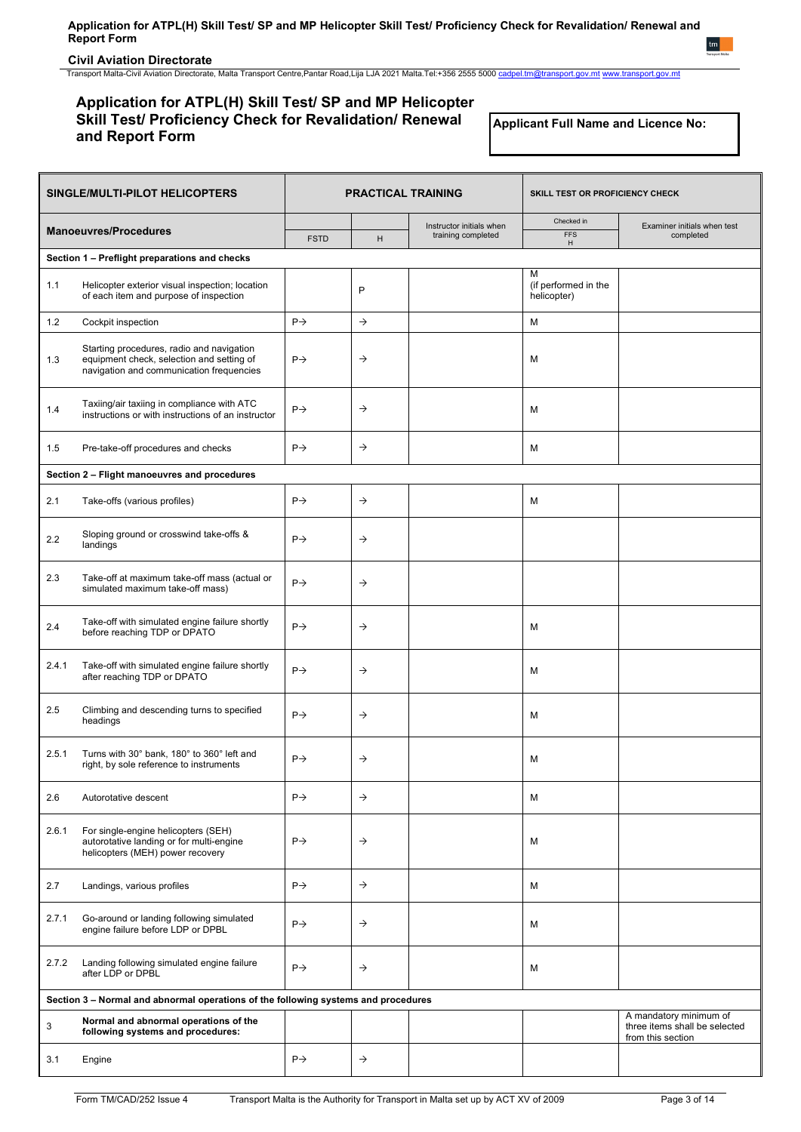**Civil Aviation Directorate**

Transport Malta-Civil Aviation Directorate, Malta Transport Centre,Pantar Road,Lija LJA 2021 Malta.Tel:+356 2555 5000 [cadpel.tm@transport.gov.mt](mailto:cadpel.tm@transport.gov.mt) [www.transport.gov.mt](http://www.transport.gov.mt/)

## **Application for ATPL(H) Skill Test/ SP and MP Helicopter Skill Test/ Proficiency Check for Revalidation/ Renewal and Report Form**

**Applicant Full Name and Licence No:**

|       | SINGLE/MULTI-PILOT HELICOPTERS                                                                                                     |                 | <b>PRACTICAL TRAINING</b> |                                                | SKILL TEST OR PROFICIENCY CHECK          |                                                                              |
|-------|------------------------------------------------------------------------------------------------------------------------------------|-----------------|---------------------------|------------------------------------------------|------------------------------------------|------------------------------------------------------------------------------|
|       | <b>Manoeuvres/Procedures</b>                                                                                                       | <b>FSTD</b>     | H                         | Instructor initials when<br>training completed | Checked in<br><b>FFS</b><br>H            | Examiner initials when test<br>completed                                     |
|       | Section 1 - Preflight preparations and checks                                                                                      |                 |                           |                                                |                                          |                                                                              |
| 1.1   | Helicopter exterior visual inspection; location<br>of each item and purpose of inspection                                          |                 | P                         |                                                | м<br>(if performed in the<br>helicopter) |                                                                              |
| 1.2   | Cockpit inspection                                                                                                                 | $P \rightarrow$ | $\rightarrow$             |                                                | M                                        |                                                                              |
| 1.3   | Starting procedures, radio and navigation<br>equipment check, selection and setting of<br>navigation and communication frequencies | $P \rightarrow$ | $\rightarrow$             |                                                | M                                        |                                                                              |
| 1.4   | Taxiing/air taxiing in compliance with ATC<br>instructions or with instructions of an instructor                                   | $P \rightarrow$ | $\rightarrow$             |                                                | M                                        |                                                                              |
| 1.5   | Pre-take-off procedures and checks                                                                                                 | $P \rightarrow$ | $\rightarrow$             |                                                | M                                        |                                                                              |
|       | Section 2 - Flight manoeuvres and procedures                                                                                       |                 |                           |                                                |                                          |                                                                              |
| 2.1   | Take-offs (various profiles)                                                                                                       | $P \rightarrow$ | $\rightarrow$             |                                                | M                                        |                                                                              |
| 2.2   | Sloping ground or crosswind take-offs &<br>landings                                                                                | $P\rightarrow$  | $\rightarrow$             |                                                |                                          |                                                                              |
| 2.3   | Take-off at maximum take-off mass (actual or<br>simulated maximum take-off mass)                                                   | $P \rightarrow$ | $\rightarrow$             |                                                |                                          |                                                                              |
| 2.4   | Take-off with simulated engine failure shortly<br>before reaching TDP or DPATO                                                     | $P \rightarrow$ | $\rightarrow$             |                                                | M                                        |                                                                              |
| 2.4.1 | Take-off with simulated engine failure shortly<br>after reaching TDP or DPATO                                                      | $P \rightarrow$ | $\rightarrow$             |                                                | M                                        |                                                                              |
| 2.5   | Climbing and descending turns to specified<br>headings                                                                             | $P \rightarrow$ | $\rightarrow$             |                                                | M                                        |                                                                              |
| 2.5.1 | Turns with 30° bank, 180° to 360° left and<br>right, by sole reference to instruments                                              | $P \rightarrow$ | $\rightarrow$             |                                                | M                                        |                                                                              |
| 2.6   | Autorotative descent                                                                                                               | $P\rightarrow$  | $\rightarrow$             |                                                | м                                        |                                                                              |
| 2.6.1 | For single-engine helicopters (SEH)<br>autorotative landing or for multi-engine<br>helicopters (MEH) power recovery                | $P \rightarrow$ | $\rightarrow$             |                                                | M                                        |                                                                              |
| 2.7   | Landings, various profiles                                                                                                         | $P \rightarrow$ | $\rightarrow$             |                                                | M                                        |                                                                              |
| 2.7.1 | Go-around or landing following simulated<br>engine failure before LDP or DPBL                                                      | $P \rightarrow$ | $\rightarrow$             |                                                | M                                        |                                                                              |
| 2.7.2 | Landing following simulated engine failure<br>after LDP or DPBL                                                                    | $P \rightarrow$ | $\rightarrow$             |                                                | M                                        |                                                                              |
|       | Section 3 - Normal and abnormal operations of the following systems and procedures                                                 |                 |                           |                                                |                                          |                                                                              |
| 3     | Normal and abnormal operations of the<br>following systems and procedures:                                                         |                 |                           |                                                |                                          | A mandatory minimum of<br>three items shall be selected<br>from this section |
| 3.1   | Engine                                                                                                                             | $P \rightarrow$ | $\rightarrow$             |                                                |                                          |                                                                              |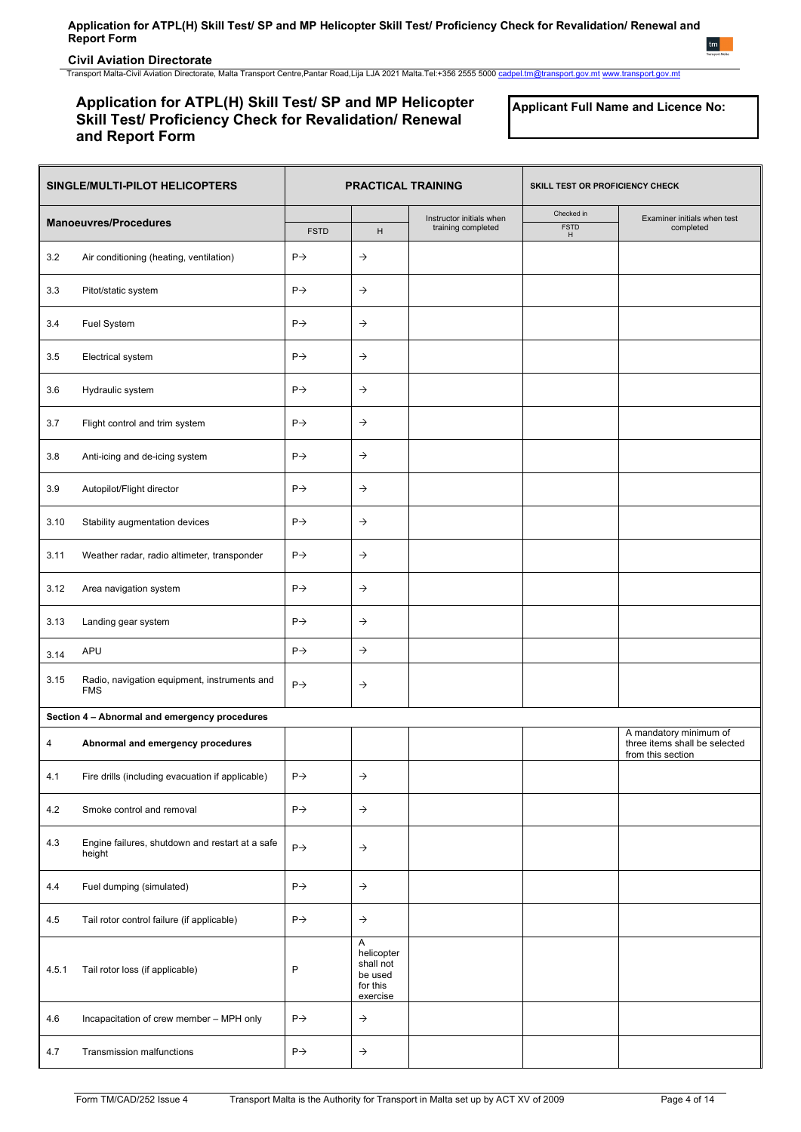## **Civil Aviation Directorate**

Transport Malta-Civil Aviation Directorate, Malta Transport Centre,Pantar Road,Lija LJA 2021 Malta.Tel:+356 2555 5000 [cadpel.tm@transport.gov.mt](mailto:cadpel.tm@transport.gov.mt) [www.transport.gov.mt](http://www.transport.gov.mt/)

## **Application for ATPL(H) Skill Test/ SP and MP Helicopter Skill Test/ Proficiency Check for Revalidation/ Renewal and Report Form**

**Applicant Full Name and Licence No:**

| SINGLE/MULTI-PILOT HELICOPTERS |                                                            | <b>PRACTICAL TRAINING</b> |                                                                 | SKILL TEST OR PROFICIENCY CHECK                |                                |                                                                              |
|--------------------------------|------------------------------------------------------------|---------------------------|-----------------------------------------------------------------|------------------------------------------------|--------------------------------|------------------------------------------------------------------------------|
| <b>Manoeuvres/Procedures</b>   |                                                            | <b>FSTD</b>               | H                                                               | Instructor initials when<br>training completed | Checked in<br><b>FSTD</b><br>H | Examiner initials when test<br>completed                                     |
| 3.2                            | Air conditioning (heating, ventilation)                    | $P \rightarrow$           | $\rightarrow$                                                   |                                                |                                |                                                                              |
| 3.3                            | Pitot/static system                                        | $P \rightarrow$           | $\rightarrow$                                                   |                                                |                                |                                                                              |
| 3.4                            | Fuel System                                                | $P \rightarrow$           | $\rightarrow$                                                   |                                                |                                |                                                                              |
| 3.5                            | Electrical system                                          | $P \rightarrow$           | $\rightarrow$                                                   |                                                |                                |                                                                              |
| 3.6                            | Hydraulic system                                           | $P \rightarrow$           | $\rightarrow$                                                   |                                                |                                |                                                                              |
| 3.7                            | Flight control and trim system                             | $P \rightarrow$           | $\rightarrow$                                                   |                                                |                                |                                                                              |
| 3.8                            | Anti-icing and de-icing system                             | $P \rightarrow$           | $\rightarrow$                                                   |                                                |                                |                                                                              |
| 3.9                            | Autopilot/Flight director                                  | $P \rightarrow$           | $\rightarrow$                                                   |                                                |                                |                                                                              |
| 3.10                           | Stability augmentation devices                             | $P \rightarrow$           | $\rightarrow$                                                   |                                                |                                |                                                                              |
| 3.11                           | Weather radar, radio altimeter, transponder                | $P \rightarrow$           | $\rightarrow$                                                   |                                                |                                |                                                                              |
| 3.12                           | Area navigation system                                     | $P \rightarrow$           | $\rightarrow$                                                   |                                                |                                |                                                                              |
| 3.13                           | Landing gear system                                        | $P \rightarrow$           | $\rightarrow$                                                   |                                                |                                |                                                                              |
| 3.14                           | APU                                                        | $P \rightarrow$           | $\rightarrow$                                                   |                                                |                                |                                                                              |
| 3.15                           | Radio, navigation equipment, instruments and<br><b>FMS</b> | $P \rightarrow$           | $\rightarrow$                                                   |                                                |                                |                                                                              |
|                                | Section 4 - Abnormal and emergency procedures              |                           |                                                                 |                                                |                                |                                                                              |
| 4                              | Abnormal and emergency procedures                          |                           |                                                                 |                                                |                                | A mandatory minimum of<br>three items shall be selected<br>from this section |
| 4.1                            | Fire drills (including evacuation if applicable)           | $P\rightarrow$            | $\rightarrow$                                                   |                                                |                                |                                                                              |
| 4.2                            | Smoke control and removal                                  | $P\rightarrow$            | $\rightarrow$                                                   |                                                |                                |                                                                              |
| 4.3                            | Engine failures, shutdown and restart at a safe<br>height  | $P\rightarrow$            | $\rightarrow$                                                   |                                                |                                |                                                                              |
| 4.4                            | Fuel dumping (simulated)                                   | $P \rightarrow$           | $\rightarrow$                                                   |                                                |                                |                                                                              |
| 4.5                            | Tail rotor control failure (if applicable)                 | $P \rightarrow$           | $\rightarrow$                                                   |                                                |                                |                                                                              |
| 4.5.1                          | Tail rotor loss (if applicable)                            | P                         | Α<br>helicopter<br>shall not<br>be used<br>for this<br>exercise |                                                |                                |                                                                              |
| 4.6                            | Incapacitation of crew member - MPH only                   | $P\rightarrow$            | $\rightarrow$                                                   |                                                |                                |                                                                              |
| 4.7                            | Transmission malfunctions                                  | $P\rightarrow$            | $\rightarrow$                                                   |                                                |                                |                                                                              |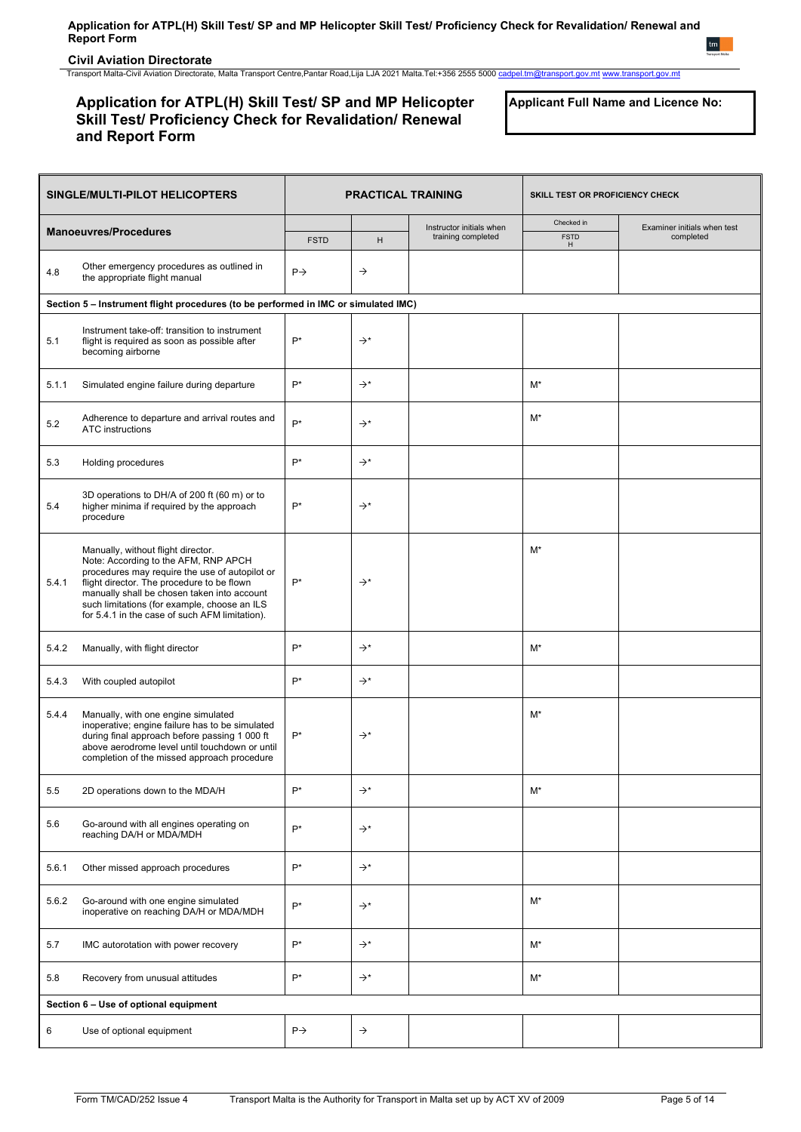**Civil Aviation Directorate**

Transport Malta-Civil Aviation Directorate, Malta Transport Centre,Pantar Road,Lija LJA 2021 Malta.Tel:+356 2555 5000 [cadpel.tm@transport.gov.mt](mailto:cadpel.tm@transport.gov.mt) [www.transport.gov.mt](http://www.transport.gov.mt/)

# **Application for ATPL(H) Skill Test/ SP and MP Helicopter Skill Test/ Proficiency Check for Revalidation/ Renewal and Report Form**

**Applicant Full Name and Licence No:**

| SINGLE/MULTI-PILOT HELICOPTERS |                                                                                                                                                                                                                                                                                                                             | <b>PRACTICAL TRAINING</b> |                 | SKILL TEST OR PROFICIENCY CHECK                |                                |                                          |
|--------------------------------|-----------------------------------------------------------------------------------------------------------------------------------------------------------------------------------------------------------------------------------------------------------------------------------------------------------------------------|---------------------------|-----------------|------------------------------------------------|--------------------------------|------------------------------------------|
|                                | <b>Manoeuvres/Procedures</b>                                                                                                                                                                                                                                                                                                | <b>FSTD</b>               | н               | Instructor initials when<br>training completed | Checked in<br><b>FSTD</b><br>H | Examiner initials when test<br>completed |
| 4.8                            | Other emergency procedures as outlined in<br>the appropriate flight manual                                                                                                                                                                                                                                                  | $P \rightarrow$           | $\rightarrow$   |                                                |                                |                                          |
|                                | Section 5 - Instrument flight procedures (to be performed in IMC or simulated IMC)                                                                                                                                                                                                                                          |                           |                 |                                                |                                |                                          |
| 5.1                            | Instrument take-off: transition to instrument<br>flight is required as soon as possible after<br>becoming airborne                                                                                                                                                                                                          | $P^*$                     | $\rightarrow^*$ |                                                |                                |                                          |
| 5.1.1                          | Simulated engine failure during departure                                                                                                                                                                                                                                                                                   | P*                        | $\rightarrow^*$ |                                                | $M^*$                          |                                          |
| 5.2                            | Adherence to departure and arrival routes and<br><b>ATC</b> instructions                                                                                                                                                                                                                                                    | $P^*$                     | $\rightarrow^*$ |                                                | M*                             |                                          |
| 5.3                            | Holding procedures                                                                                                                                                                                                                                                                                                          | $P^*$                     | $\rightarrow^*$ |                                                |                                |                                          |
| 5.4                            | 3D operations to DH/A of 200 ft (60 m) or to<br>higher minima if required by the approach<br>procedure                                                                                                                                                                                                                      | P*                        | $\rightarrow^*$ |                                                |                                |                                          |
| 5.4.1                          | Manually, without flight director.<br>Note: According to the AFM, RNP APCH<br>procedures may require the use of autopilot or<br>flight director. The procedure to be flown<br>manually shall be chosen taken into account<br>such limitations (for example, choose an ILS<br>for 5.4.1 in the case of such AFM limitation). | P*                        | $\rightarrow^*$ |                                                | $M^*$                          |                                          |
| 5.4.2                          | Manually, with flight director                                                                                                                                                                                                                                                                                              | $P^*$                     | $\rightarrow^*$ |                                                | $M^*$                          |                                          |
| 5.4.3                          | With coupled autopilot                                                                                                                                                                                                                                                                                                      | $P^*$                     | $\rightarrow^*$ |                                                |                                |                                          |
| 5.4.4                          | Manually, with one engine simulated<br>inoperative; engine failure has to be simulated<br>during final approach before passing 1 000 ft<br>above aerodrome level until touchdown or until<br>completion of the missed approach procedure                                                                                    | $P^*$                     | $\rightarrow^*$ |                                                | $M^*$                          |                                          |
| 5.5                            | 2D operations down to the MDA/H                                                                                                                                                                                                                                                                                             | $P^*$                     | $\rightarrow^*$ |                                                | $M^*$                          |                                          |
| 5.6                            | Go-around with all engines operating on<br>reaching DA/H or MDA/MDH                                                                                                                                                                                                                                                         | $P^*$                     | $\rightarrow^*$ |                                                |                                |                                          |
| 5.6.1                          | Other missed approach procedures                                                                                                                                                                                                                                                                                            | $P^*$                     | $\rightarrow^*$ |                                                |                                |                                          |
| 5.6.2                          | Go-around with one engine simulated<br>inoperative on reaching DA/H or MDA/MDH                                                                                                                                                                                                                                              | $P^*$                     | $\rightarrow^*$ |                                                | $M^*$                          |                                          |
| 5.7                            | IMC autorotation with power recovery                                                                                                                                                                                                                                                                                        | $P^*$                     | $\rightarrow^*$ |                                                | $M^*$                          |                                          |
| 5.8                            | Recovery from unusual attitudes                                                                                                                                                                                                                                                                                             | $P^*$                     | $\rightarrow^*$ |                                                | $M^*$                          |                                          |
|                                | Section 6 - Use of optional equipment                                                                                                                                                                                                                                                                                       |                           |                 |                                                |                                |                                          |
| 6                              | Use of optional equipment                                                                                                                                                                                                                                                                                                   | $P \rightarrow$           | $\rightarrow$   |                                                |                                |                                          |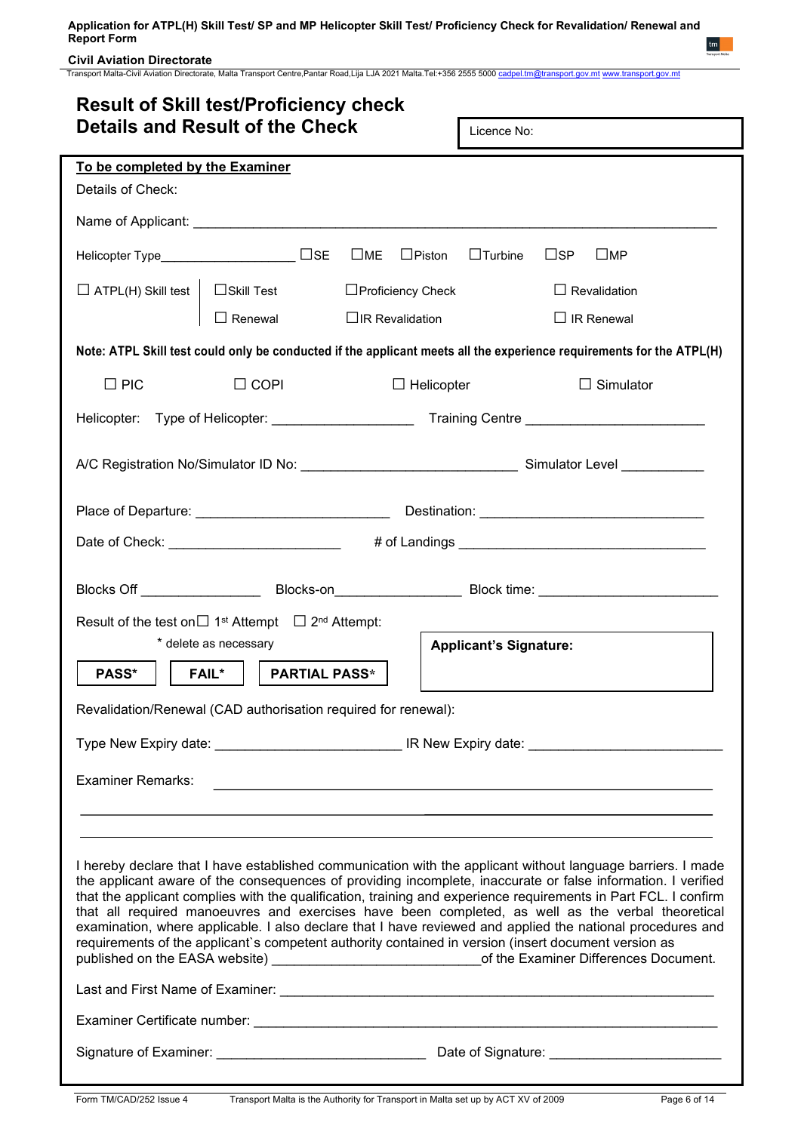## **Civil Aviation Directorate**

Transport Malta-Civil Aviation Directorate, Malta Transport Centre,Pantar Road,Lija LJA 2021 Malta.Tel:+356 2555 5000 [cadpel.tm@transport.gov.mt](mailto:cadpel.tm@transport.gov.mt) [www.transport.gov.mt](http://www.transport.gov.mt/)

| <b>Result of Skill test/Proficiency check</b>                                                                                                                                                                                                                                                                                                                                                                                                                                                                                                                                                                                                                                                                                                                                     |                                                                                      |                   |                                                                                                                                                                                                                                      |  |  |  |
|-----------------------------------------------------------------------------------------------------------------------------------------------------------------------------------------------------------------------------------------------------------------------------------------------------------------------------------------------------------------------------------------------------------------------------------------------------------------------------------------------------------------------------------------------------------------------------------------------------------------------------------------------------------------------------------------------------------------------------------------------------------------------------------|--------------------------------------------------------------------------------------|-------------------|--------------------------------------------------------------------------------------------------------------------------------------------------------------------------------------------------------------------------------------|--|--|--|
|                                                                                                                                                                                                                                                                                                                                                                                                                                                                                                                                                                                                                                                                                                                                                                                   | <b>Details and Result of the Check</b>                                               | Licence No:       |                                                                                                                                                                                                                                      |  |  |  |
| To be completed by the Examiner                                                                                                                                                                                                                                                                                                                                                                                                                                                                                                                                                                                                                                                                                                                                                   |                                                                                      |                   |                                                                                                                                                                                                                                      |  |  |  |
| Details of Check:                                                                                                                                                                                                                                                                                                                                                                                                                                                                                                                                                                                                                                                                                                                                                                 |                                                                                      |                   |                                                                                                                                                                                                                                      |  |  |  |
|                                                                                                                                                                                                                                                                                                                                                                                                                                                                                                                                                                                                                                                                                                                                                                                   |                                                                                      |                   |                                                                                                                                                                                                                                      |  |  |  |
|                                                                                                                                                                                                                                                                                                                                                                                                                                                                                                                                                                                                                                                                                                                                                                                   | Helicopter Type_____________________ □SE □ME □Piston                                 |                   | $\square$ SP<br>$\Box$ Turbine<br>$\sqcup$ MP                                                                                                                                                                                        |  |  |  |
|                                                                                                                                                                                                                                                                                                                                                                                                                                                                                                                                                                                                                                                                                                                                                                                   | $\Box$ ATPL(H) Skill test $\Box$ Skill Test $\Box$ Proficiency Check                 |                   | $\Box$ Revalidation                                                                                                                                                                                                                  |  |  |  |
|                                                                                                                                                                                                                                                                                                                                                                                                                                                                                                                                                                                                                                                                                                                                                                                   | $\Box$ Renewal $\Box$ IR Revalidation                                                |                   | $\Box$ IR Renewal                                                                                                                                                                                                                    |  |  |  |
|                                                                                                                                                                                                                                                                                                                                                                                                                                                                                                                                                                                                                                                                                                                                                                                   |                                                                                      |                   | Note: ATPL Skill test could only be conducted if the applicant meets all the experience requirements for the ATPL(H)                                                                                                                 |  |  |  |
| $\Box$ PIC                                                                                                                                                                                                                                                                                                                                                                                                                                                                                                                                                                                                                                                                                                                                                                        | $\Box$ COPI                                                                          | $\Box$ Helicopter | $\Box$ Simulator                                                                                                                                                                                                                     |  |  |  |
|                                                                                                                                                                                                                                                                                                                                                                                                                                                                                                                                                                                                                                                                                                                                                                                   |                                                                                      |                   |                                                                                                                                                                                                                                      |  |  |  |
|                                                                                                                                                                                                                                                                                                                                                                                                                                                                                                                                                                                                                                                                                                                                                                                   |                                                                                      |                   |                                                                                                                                                                                                                                      |  |  |  |
|                                                                                                                                                                                                                                                                                                                                                                                                                                                                                                                                                                                                                                                                                                                                                                                   |                                                                                      |                   |                                                                                                                                                                                                                                      |  |  |  |
|                                                                                                                                                                                                                                                                                                                                                                                                                                                                                                                                                                                                                                                                                                                                                                                   |                                                                                      |                   | Date of Check: __________________________ # of Landings _________________________                                                                                                                                                    |  |  |  |
|                                                                                                                                                                                                                                                                                                                                                                                                                                                                                                                                                                                                                                                                                                                                                                                   |                                                                                      |                   | Blocks Off __________________________Blocks-on__________________________Block time: __________________________                                                                                                                       |  |  |  |
|                                                                                                                                                                                                                                                                                                                                                                                                                                                                                                                                                                                                                                                                                                                                                                                   | Result of the test on $\Box$ 1 <sup>st</sup> Attempt $\Box$ 2 <sup>nd</sup> Attempt: |                   |                                                                                                                                                                                                                                      |  |  |  |
|                                                                                                                                                                                                                                                                                                                                                                                                                                                                                                                                                                                                                                                                                                                                                                                   | * delete as necessary                                                                |                   | <b>Applicant's Signature:</b>                                                                                                                                                                                                        |  |  |  |
| PASS*                                                                                                                                                                                                                                                                                                                                                                                                                                                                                                                                                                                                                                                                                                                                                                             | <b>FAIL*</b><br><b>PARTIAL PASS*</b>                                                 |                   |                                                                                                                                                                                                                                      |  |  |  |
|                                                                                                                                                                                                                                                                                                                                                                                                                                                                                                                                                                                                                                                                                                                                                                                   | Revalidation/Renewal (CAD authorisation required for renewal):                       |                   |                                                                                                                                                                                                                                      |  |  |  |
|                                                                                                                                                                                                                                                                                                                                                                                                                                                                                                                                                                                                                                                                                                                                                                                   |                                                                                      |                   |                                                                                                                                                                                                                                      |  |  |  |
| <b>Examiner Remarks:</b>                                                                                                                                                                                                                                                                                                                                                                                                                                                                                                                                                                                                                                                                                                                                                          |                                                                                      |                   | <u> 1999 - Johann Johann Harry Harry Harry Harry Harry Harry Harry Harry Harry Harry Harry Harry Harry Harry Harry Harry Harry Harry Harry Harry Harry Harry Harry Harry Harry Harry Harry Harry Harry Harry Harry Harry Harry H</u> |  |  |  |
|                                                                                                                                                                                                                                                                                                                                                                                                                                                                                                                                                                                                                                                                                                                                                                                   |                                                                                      |                   |                                                                                                                                                                                                                                      |  |  |  |
| I hereby declare that I have established communication with the applicant without language barriers. I made<br>the applicant aware of the consequences of providing incomplete, inaccurate or false information. I verified<br>that the applicant complies with the qualification, training and experience requirements in Part FCL. I confirm<br>that all required manoeuvres and exercises have been completed, as well as the verbal theoretical<br>examination, where applicable. I also declare that I have reviewed and applied the national procedures and<br>requirements of the applicant's competent authority contained in version (insert document version as<br>published on the EASA website) ________________________________of the Examiner Differences Document. |                                                                                      |                   |                                                                                                                                                                                                                                      |  |  |  |
|                                                                                                                                                                                                                                                                                                                                                                                                                                                                                                                                                                                                                                                                                                                                                                                   |                                                                                      |                   |                                                                                                                                                                                                                                      |  |  |  |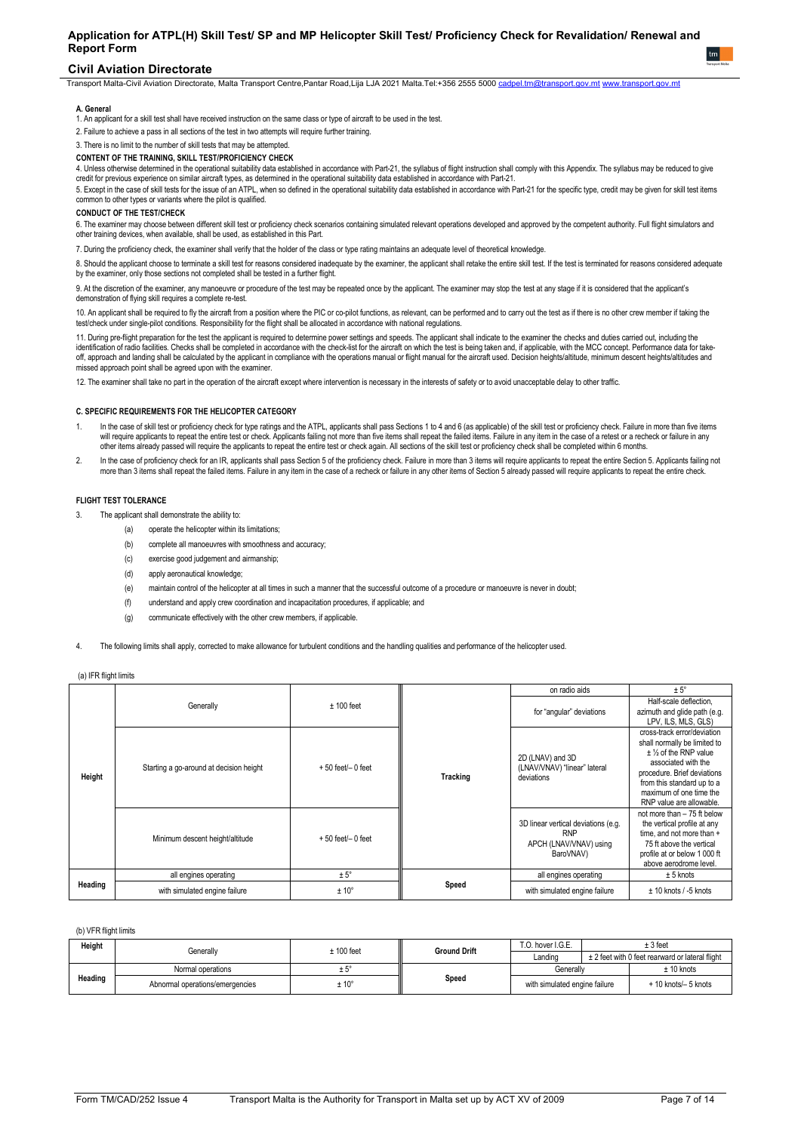### **Civil Aviation Directorate**

Transport Malta-Civil Aviation Directorate, Malta Transport Centre,Pantar Road,Lija LJA 2021 Malta.Tel:+356 2555 5000 [cadpel.tm@transport.gov.mt](mailto:cadpel.tm@transport.gov.mt) [www.transport.gov.mt](http://www.transport.gov.mt/)

#### **A.** Genera

1. An applicant for a skill test shall have received instruction on the same class or type of aircraft to be used in the test.

2. Failure to achieve a pass in all sections of the test in two attempts will require further training.

3. There is no limit to the number of skill tests that may be attempted.

## **CONTENT OF THE TRAINING, SKILL TEST/PROFICIENCY CHECK**

4. Unless otherwise determined in the operational suitability data established in accordance with Part-21, the syllabus of flight instruction shall comply with this Appendix. The syllabus may be reduced to give credit for previous experience on similar aircraft types, as determined in the operational suitability data established in accordance with Part-21.

5. Except in the case of skill tests for the issue of an ATPL, when so defined in the operational suitability data established in accordance with Part-21 for the specific type, credit may be given for skill test items common to other types or variants where the pilot is qualified.

## **CONDUCT OF THE TEST/CHECK**

o. The examiner may choose between different skill test or proficiency check scenarios containing simulated relevant operations developed and approved by the competent authority. Full filght simulators and<br>other training d

7. During the proficiency check, the examiner shall verify that the holder of the class or type rating maintains an adequate level of theoretical knowledge.

8. Should the applicant choose to terminate a skill test for reasons considered inadequate by the examiner, the applicant shall retake the entire skill test. If the test is terminated for reasons considered adequate by the examiner, only those sections not completed shall be tested in a further flight

9. At the discretion of the examiner, any manoeuvre or procedure of the test may be repeated once by the applicant. The examiner may stop the test at any stage if it is considered that the applicant's demonstration of flying skill requires a complete re-test.

10. An applicant shall be required to ny the aircratt from a position where the PIC of co-pliot functions, as relevant, can be performed and to carry out the test as if there is no other crew member if taking the<br>test/chec

11. During pre-flight preparation for the test the applicant is required to determine power settings and speeds. The applicant shall indicate to the examiner the checks and duties carried out, including the identification of radio facilities. Checks shall be completed in accordance with the check-list for the aircraft on which the test is being taken and, if applicable, with the MCC concept. Performance data for takeoff, approach and landing shall be calculated by the applicant in compliance with the operations manual or flight manual for the aircraft used. Decision heights/altitude, minimum descent heights/altitudes and missed approach point shall be agreed upon with the examiner.

12. The examiner shall take no part in the operation of the aircraft except where intervention is necessary in the interests of safety or to avoid unacceptable delay to other traffic.

#### **C. SPECIFIC REQUIREMENTS FOR THE HELICOPTER CATEGORY**

- 1. In the case of skill test or proficiency check for type ratings and the ATPL, applicants shall pass Sections 1 to 4 and 6 (as applicable) of the skill test or proficiency check. Failure in more than five items will require applicants to repeat the entire test or check. Applicants failing not more than five items shall repeat the failed items. Failure in any item in the case of a retest or a recheck or failure in any other items already passed will require the applicants to repeat the entire test or check again. All sections of the skill test or proficiency check shall be completed within 6 months.
- 2. In the case of proficiency check for an IR, applicants shall pass Section 5 of the proficiency check. Failure in more than 3 items will require applicants to repeat the entire Section 5. Applicants failing not more than 3 items shall repeat the failed items. Failure in any item in the case of a recheck or failure in any other items of Section 5 already passed will require applicants to repeat the entire check.

#### **FLIGHT TEST TOLERANCE**

- 3. The applicant shall demonstrate the ability to:
	- (a) operate the helicopter within its limitations;
	- (b) complete all manoeuvres with smoothness and accuracy
	- (c) exercise good judgement and airmanship;
	- (d) apply aeronautical knowledge;
	- (e) maintain control of the helicopter at all times in such a manner that the successful outcome of a procedure or manoeuvre is never in doubt;
	- (f) understand and apply crew coordination and incapacitation procedures, if applicable; and
	- (g) communicate effectively with the other crew members, if applicable.
- The following limits shall apply, corrected to make allowance for turbulent conditions and the handling qualities and performance of the helicopter used.

|         |                                         |                       |          | on radio aids                                                                            | $± 5^\circ$                                                                                                                                                                                                                      |
|---------|-----------------------------------------|-----------------------|----------|------------------------------------------------------------------------------------------|----------------------------------------------------------------------------------------------------------------------------------------------------------------------------------------------------------------------------------|
| Height  | Generally                               | $± 100$ feet          |          | for "angular" deviations                                                                 | Half-scale deflection.<br>azimuth and glide path (e.g.<br>LPV, ILS, MLS, GLS)                                                                                                                                                    |
|         | Starting a go-around at decision height | $+50$ feet/ $-0$ feet | Tracking | 2D (LNAV) and 3D<br>(LNAV/VNAV) "linear" lateral<br>deviations                           | cross-track error/deviation<br>shall normally be limited to<br>$±$ % of the RNP value<br>associated with the<br>procedure. Brief deviations<br>from this standard up to a<br>maximum of one time the<br>RNP value are allowable. |
|         | Minimum descent height/altitude         | $+50$ feet/ $-0$ feet |          | 3D linear vertical deviations (e.g.<br><b>RNP</b><br>APCH (LNAV/VNAV) using<br>BaroVNAV) | not more than - 75 ft below<br>the vertical profile at any<br>time, and not more than +<br>75 ft above the vertical<br>profile at or below 1 000 ft<br>above aerodrome level.                                                    |
|         | all engines operating                   | $± 5^\circ$           |          | all engines operating                                                                    | $± 5$ knots                                                                                                                                                                                                                      |
| Heading | with simulated engine failure           | $± 10^{\circ}$        | Speed    | with simulated engine failure                                                            | $± 10$ knots / -5 knots                                                                                                                                                                                                          |

#### (a) IFR flight limits

### (b) VFR flight limits

| Height  | Generally                       | <b>Ground Drift</b><br>$± 100$ feet |       | T.O. hover I.G.E.             | ± 3 feet                                        |
|---------|---------------------------------|-------------------------------------|-------|-------------------------------|-------------------------------------------------|
|         |                                 |                                     |       | Landing                       | ± 2 feet with 0 feet rearward or lateral flight |
| Heading | Normal operations               | ∸⊍                                  |       | Generally                     | $± 10$ knots                                    |
|         | Abnormal operations/emergencies | $± 10^{\circ}$                      | Speed | with simulated engine failure | + 10 knots/- 5 knots                            |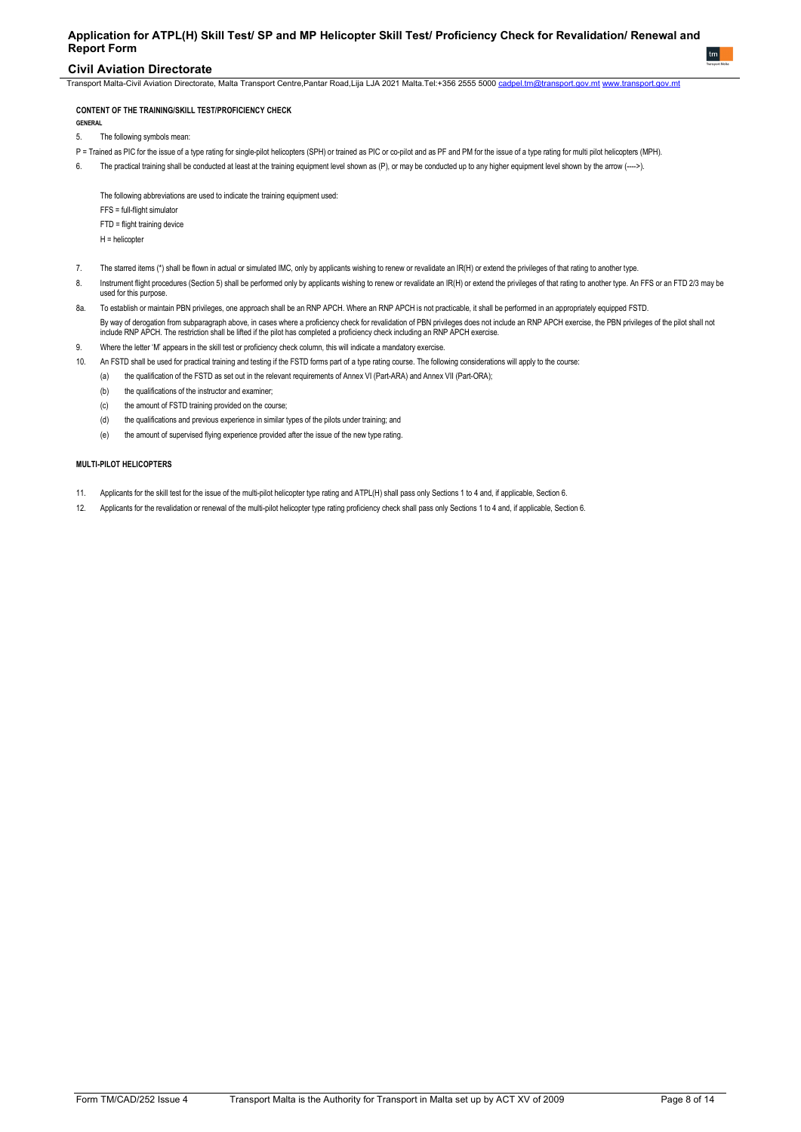## **Civil Aviation Directorate**

Transport Malta-Civil Aviation Directorate, Malta Transport Centre,Pantar Road,Lija LJA 2021 Malta.Tel:+356 2555 5000 [cadpel.tm@transport.gov.mt](mailto:cadpel.tm@transport.gov.mt) [www.transport.gov.mt](http://www.transport.gov.mt/)

## **CONTENT OF THE TRAINING/SKILL TEST/PROFICIENCY CHECK**

**GENERAL** 

- 5. The following symbols mean:
- P = Trained as PIC for the issue of a type rating for single-pilot helicopters (SPH) or trained as PIC or co-pilot and as PF and PM for the issue of a type rating for multi pilot helicopters (MPH).
- 6. The practical training shall be conducted at least at the training equipment level shown as (P), or may be conducted up to any higher equipment level shown by the arrow (---->).

The following abbreviations are used to indicate the training equipment used: FFS = full-flight simulator FTD = flight training device

- H = helicopter
- 7. The starred items (\*) shall be flown in actual or simulated IMC, only by applicants wishing to renew or revalidate an IR(H) or extend the privileges of that rating to another type.
- 8. Instrument flight procedures (Section 5) shall be performed only by applicants wishing to renew or revalidate an IR(H) or extend the privileges of that rating to another type. An FFS or an FTD 2/3 may be used for this purpose.
- 8a. To establish or maintain PBN privileges, one approach shall be an RNP APCH. Where an RNP APCH is not practicable, it shall be performed in an appropriately equipped FSTD. By way of derogation from subparagraph above, in cases where a proficiency check for revalidation of PBN privileges does not include an RNP APCH exercise, the PBN privileges of the pilot shall not include RNP APCH. The restriction shall be lifted if the pilot has completed a proficiency check including an RNP APCH exercise.
- 9. Where the letter 'M' appears in the skill test or proficiency check column, this will indicate a mandatory exercise.
- 10. An FSTD shall be used for practical training and testing if the FSTD forms part of a type rating course. The following considerations will apply to the course:
	- (a) the qualification of the FSTD as set out in the relevant requirements of Annex VI (Part-ARA) and Annex VII (Part-ORA);
	- (b) the qualifications of the instructor and examiner;
	- (c) the amount of FSTD training provided on the course;
	- (d) the qualifications and previous experience in similar types of the pilots under training; and
	- (e) the amount of supervised flying experience provided after the issue of the new type rating.

## **MULTI-PILOT HELICOPTERS**

- 11. Applicants for the skill test for the issue of the multi-pilot helicopter type rating and ATPL(H) shall pass only Sections 1 to 4 and, if applicable, Section 6.
- 12. Applicants for the revalidation or renewal of the multi-pilot helicopter type rating proficiency check shall pass only Sections 1 to 4 and, if applicable, Section 6.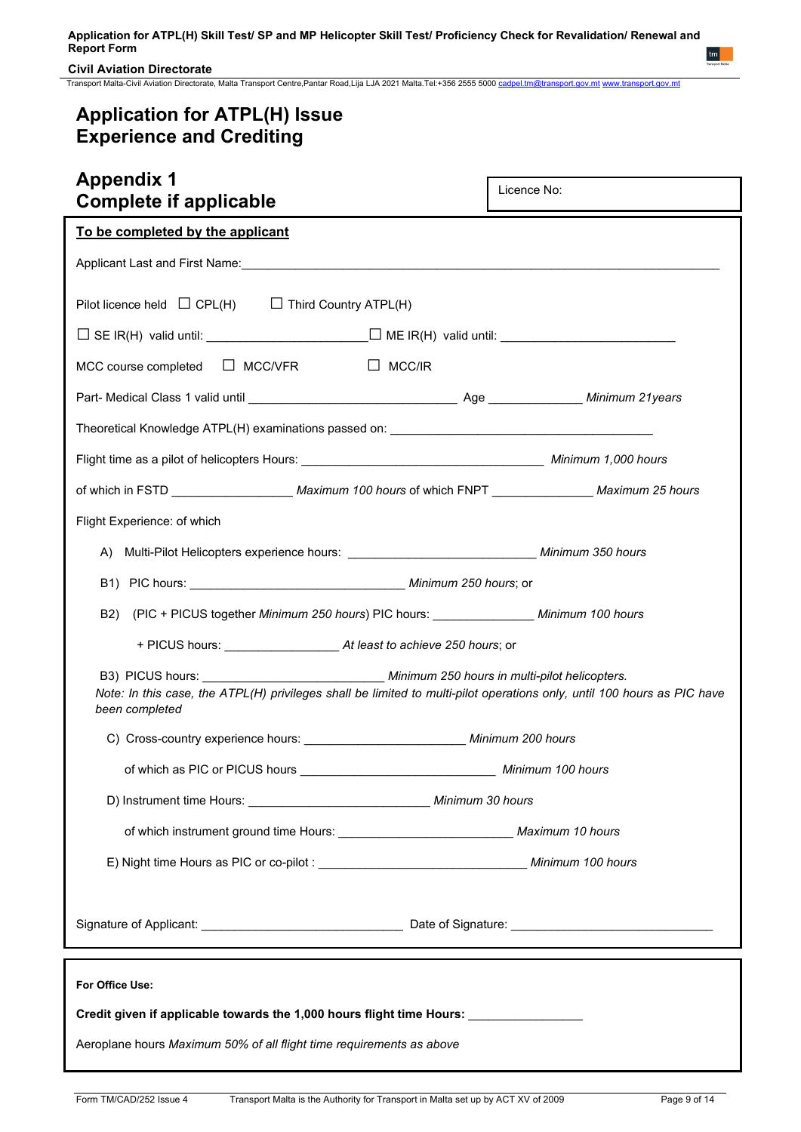## **Civil Aviation Directorate**

Transport Malta-Civil Aviation Directorate, Malta Transport Centre,Pantar Road,Lija LJA 2021 Malta.Tel:+356 2555 5000 [cadpel.tm@transport.gov.mt](mailto:cadpel.tm@transport.gov.mt) [www.transport.gov.mt](http://www.transport.gov.mt/)

# **Application for ATPL(H) Issue Experience and Crediting**

| <b>Appendix 1</b><br><b>Complete if applicable</b>                                                                                                                                                          | Licence No:       |
|-------------------------------------------------------------------------------------------------------------------------------------------------------------------------------------------------------------|-------------------|
| To be completed by the applicant                                                                                                                                                                            |                   |
|                                                                                                                                                                                                             |                   |
| Pilot licence held $\Box$ CPL(H) $\Box$ Third Country ATPL(H)                                                                                                                                               |                   |
|                                                                                                                                                                                                             |                   |
| MCC course completed $\Box$ MCC/VFR<br>$\Box$ MCC/IR                                                                                                                                                        |                   |
|                                                                                                                                                                                                             |                   |
|                                                                                                                                                                                                             |                   |
|                                                                                                                                                                                                             |                   |
| of which in FSTD ________________________Maximum 100 hours of which FNPT __________________Maximum 25 hours                                                                                                 |                   |
| Flight Experience: of which                                                                                                                                                                                 |                   |
|                                                                                                                                                                                                             |                   |
|                                                                                                                                                                                                             |                   |
| B2) (PIC + PICUS together Minimum 250 hours) PIC hours: ________________ Minimum 100 hours                                                                                                                  |                   |
|                                                                                                                                                                                                             |                   |
| B3) PICUS hours: Minimum 250 hours in multi-pilot helicopters.<br>Note: In this case, the ATPL(H) privileges shall be limited to multi-pilot operations only, until 100 hours as PIC have<br>been completed |                   |
| C) Cross-country experience hours: Minimum 200 hours                                                                                                                                                        |                   |
| of which as PIC or PICUS hours                                                                                                                                                                              | Minimum 100 hours |
| D) Instrument time Hours: ___________________________________ Minimum 30 hours                                                                                                                              |                   |
| of which instrument ground time Hours: ___________________________________ Maximum 10 hours                                                                                                                 |                   |
|                                                                                                                                                                                                             |                   |
|                                                                                                                                                                                                             |                   |
| For Office Use:                                                                                                                                                                                             |                   |
| Credit given if applicable towards the 1,000 hours flight time Hours: _______________                                                                                                                       |                   |
| Aeroplane hours Maximum 50% of all flight time requirements as above                                                                                                                                        |                   |
|                                                                                                                                                                                                             |                   |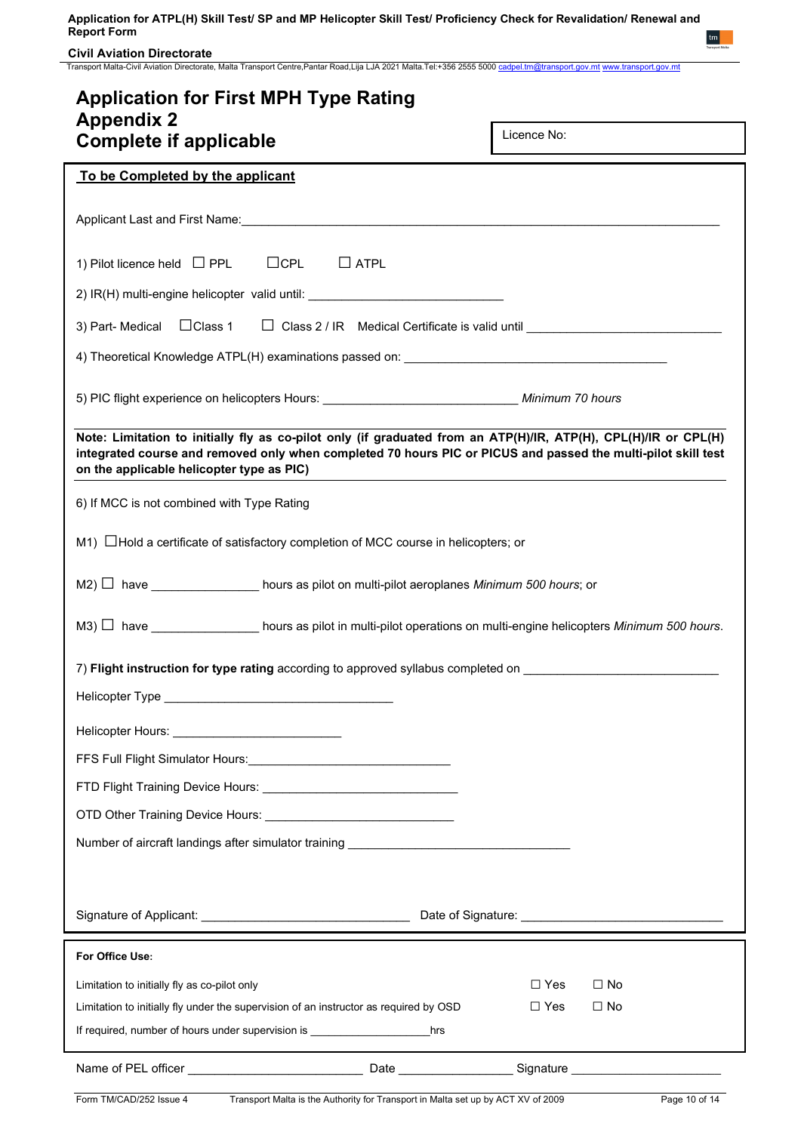**Civil Aviation Directorate**

Transport Malta-Civil Aviation Directorate, Malta Transport Centre,Pantar Road,Lija LJA 2021 Malta.Tel:+356 2555 5000 [cadpel.tm@transport.gov.mt](mailto:cadpel.tm@transport.gov.mt) [www.transport.gov.mt](http://www.transport.gov.mt/)

| <b>Application for First MPH Type Rating</b><br><b>Appendix 2</b>                                                                                                                                                                                                             |                         |
|-------------------------------------------------------------------------------------------------------------------------------------------------------------------------------------------------------------------------------------------------------------------------------|-------------------------|
| <b>Complete if applicable</b>                                                                                                                                                                                                                                                 | Licence No:             |
| To be Completed by the applicant                                                                                                                                                                                                                                              |                         |
|                                                                                                                                                                                                                                                                               |                         |
| $\Box$ CPL<br>$\Box$ ATPL<br>1) Pilot licence held $\Box$ PPL                                                                                                                                                                                                                 |                         |
| 2) IR(H) multi-engine helicopter valid until: __________________________________                                                                                                                                                                                              |                         |
| 3) Part- Medical $\Box$ Class 1 $\Box$ Class 2 / IR Medical Certificate is valid until $\Box$                                                                                                                                                                                 |                         |
| 4) Theoretical Knowledge ATPL(H) examinations passed on: ________________________                                                                                                                                                                                             |                         |
| 5) PIC flight experience on helicopters Hours: __________________________________ Minimum 70 hours                                                                                                                                                                            |                         |
| Note: Limitation to initially fly as co-pilot only (if graduated from an ATP(H)/IR, ATP(H), CPL(H)/IR or CPL(H)<br>integrated course and removed only when completed 70 hours PIC or PICUS and passed the multi-pilot skill test<br>on the applicable helicopter type as PIC) |                         |
| 6) If MCC is not combined with Type Rating                                                                                                                                                                                                                                    |                         |
| $M1)$ $\Box$ Hold a certificate of satisfactory completion of MCC course in helicopters; or                                                                                                                                                                                   |                         |
| $M2)$ have $\_\_\_\_\_\_\_\_\_\_\_\_\_$ hours as pilot on multi-pilot aeroplanes Minimum 500 hours; or                                                                                                                                                                        |                         |
| $MS)$ have have hours as pilot in multi-pilot operations on multi-engine helicopters <i>Minimum 500 hours</i> .                                                                                                                                                               |                         |
| 7) Flight instruction for type rating according to approved syllabus completed on                                                                                                                                                                                             |                         |
| Helicopter Type                                                                                                                                                                                                                                                               |                         |
|                                                                                                                                                                                                                                                                               |                         |
| FFS Full Flight Simulator Hours: [19] Party Report of Fig. 2.1 (1997)                                                                                                                                                                                                         |                         |
|                                                                                                                                                                                                                                                                               |                         |
|                                                                                                                                                                                                                                                                               |                         |
| Number of aircraft landings after simulator training ___________________________                                                                                                                                                                                              |                         |
|                                                                                                                                                                                                                                                                               |                         |
| Signature of Applicant: <u>Communications of the Signature</u>                                                                                                                                                                                                                |                         |
| For Office Use:                                                                                                                                                                                                                                                               |                         |
| Limitation to initially fly as co-pilot only                                                                                                                                                                                                                                  | $\Box$ Yes<br>$\Box$ No |
| Limitation to initially fly under the supervision of an instructor as required by OSD                                                                                                                                                                                         | $\Box$ Yes<br>$\Box$ No |
| If required, number of hours under supervision is ______________________________<br>hrs                                                                                                                                                                                       |                         |
|                                                                                                                                                                                                                                                                               |                         |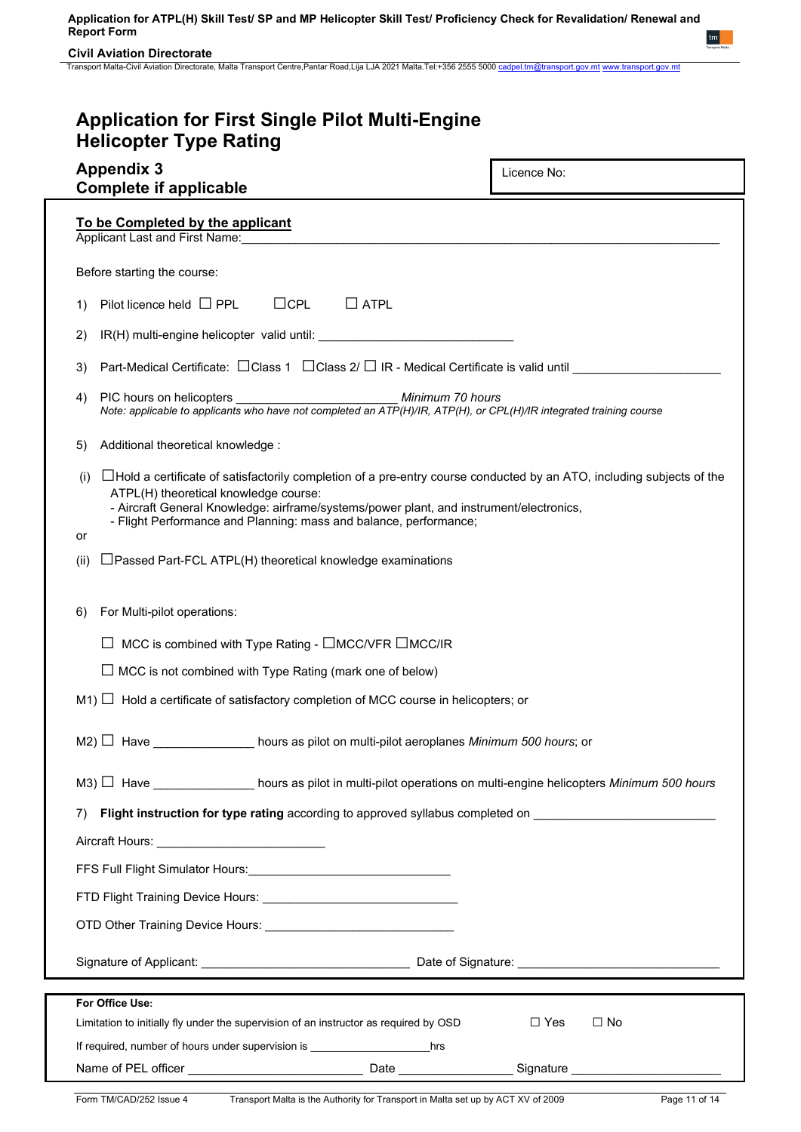**Civil Aviation Directorate**

Transport Malta-Civil Aviation Directorate, Malta Transport Centre,Pantar Road,Lija LJA 2021 Malta.Tel:+356 2555 5000 <u>[cadpel.tm@transport.gov.mt](mailto:cadpel.tm@transport.gov.mt) www.transport.gov.m</u>t

| <b>Application for First Single Pilot Multi-Engine</b><br><b>Helicopter Type Rating</b>                                                                                                                                                                                                                                                      |                         |
|----------------------------------------------------------------------------------------------------------------------------------------------------------------------------------------------------------------------------------------------------------------------------------------------------------------------------------------------|-------------------------|
| <b>Appendix 3</b><br><b>Complete if applicable</b>                                                                                                                                                                                                                                                                                           | Licence No:             |
| To be Completed by the applicant<br>Applicant Last and First Name: Mannell Applicant Last and First Name: Management Applicant Last and First Name:                                                                                                                                                                                          |                         |
| Before starting the course:                                                                                                                                                                                                                                                                                                                  |                         |
| $\Box$ CPL<br>$\Box$ ATPL<br>Pilot licence held $\Box$ PPL<br>1)                                                                                                                                                                                                                                                                             |                         |
| 2)                                                                                                                                                                                                                                                                                                                                           |                         |
| Part-Medical Certificate: □ Class 1 □ Class 2/ □ IR - Medical Certificate is valid until ________________<br>3)                                                                                                                                                                                                                              |                         |
| PIC hours on helicopters<br>Minimum 70 hours<br>4)<br>Note: applicable to applicants who have not completed an ATP(H)/IR, ATP(H), or CPL(H)/IR integrated training course                                                                                                                                                                    |                         |
| Additional theoretical knowledge:<br>5)                                                                                                                                                                                                                                                                                                      |                         |
| □ Hold a certificate of satisfactorily completion of a pre-entry course conducted by an ATO, including subjects of the<br>(i)<br>ATPL(H) theoretical knowledge course:<br>- Aircraft General Knowledge: airframe/systems/power plant, and instrument/electronics,<br>- Flight Performance and Planning: mass and balance, performance;<br>or |                         |
| □ Passed Part-FCL ATPL(H) theoretical knowledge examinations<br>(ii)                                                                                                                                                                                                                                                                         |                         |
| For Multi-pilot operations:<br>6)                                                                                                                                                                                                                                                                                                            |                         |
| MCC is combined with Type Rating - □MCC/VFR □MCC/IR                                                                                                                                                                                                                                                                                          |                         |
| $\Box$ MCC is not combined with Type Rating (mark one of below)                                                                                                                                                                                                                                                                              |                         |
| $M1$ $\Box$ Hold a certificate of satisfactory completion of MCC course in helicopters; or                                                                                                                                                                                                                                                   |                         |
| M2) □ Have ______________ hours as pilot on multi-pilot aeroplanes Minimum 500 hours; or                                                                                                                                                                                                                                                     |                         |
| M3) $\Box$ Have _______________ hours as pilot in multi-pilot operations on multi-engine helicopters Minimum 500 hours                                                                                                                                                                                                                       |                         |
| Flight instruction for type rating according to approved syllabus completed on _______________________________<br>7)                                                                                                                                                                                                                         |                         |
|                                                                                                                                                                                                                                                                                                                                              |                         |
| FFS Full Flight Simulator Hours: [19] [2010] [2010] [2010] [2010] [2010] [2010] [2010] [2010] [2010] [2010] [2010] [2010] [2010] [2010] [2010] [2010] [2010] [2010] [2010] [2010] [2010] [2010] [2010] [2010] [2010] [2010] [2                                                                                                               |                         |
|                                                                                                                                                                                                                                                                                                                                              |                         |
|                                                                                                                                                                                                                                                                                                                                              |                         |
|                                                                                                                                                                                                                                                                                                                                              |                         |
| For Office Use:                                                                                                                                                                                                                                                                                                                              |                         |
| Limitation to initially fly under the supervision of an instructor as required by OSD                                                                                                                                                                                                                                                        | $\Box$ Yes<br>$\Box$ No |
| If required, number of hours under supervision is ______________________________hrs                                                                                                                                                                                                                                                          |                         |
|                                                                                                                                                                                                                                                                                                                                              |                         |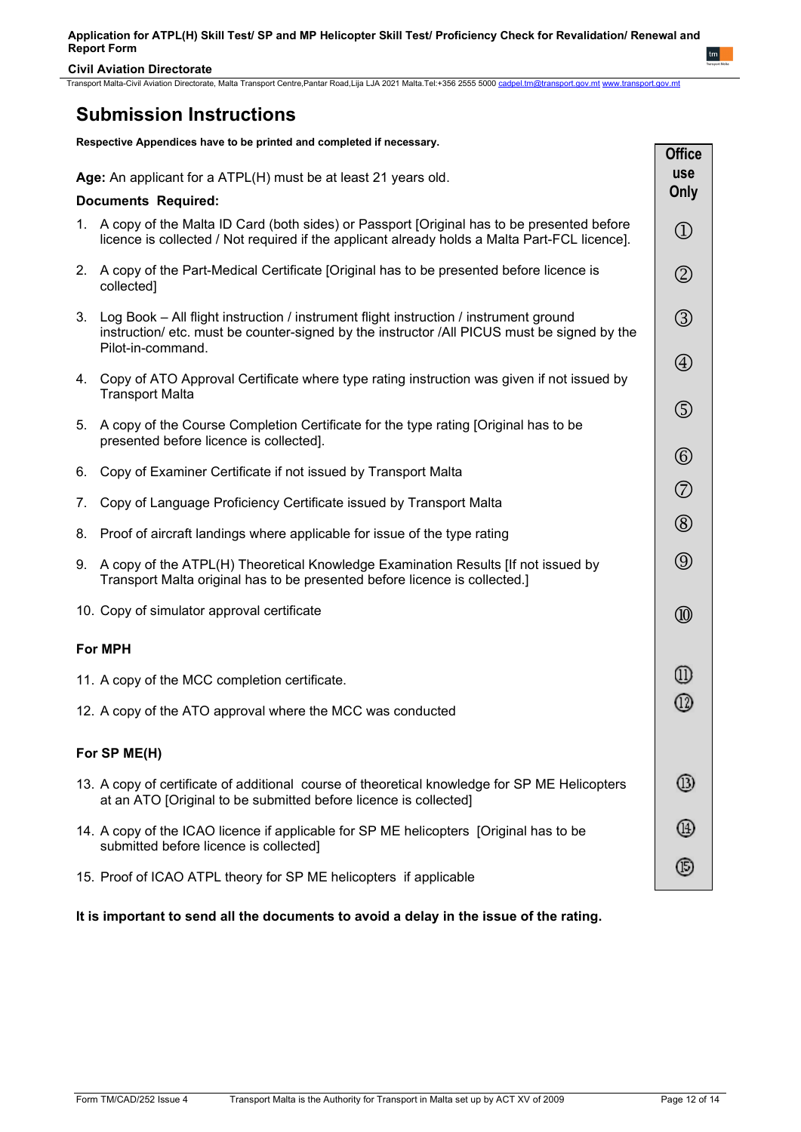**Civil Aviation Directorate**

Transport Malta-Civil Aviation Directorate, Malta Transport Centre,Pantar Road,Lija LJA 2021 Malta.Tel:+356 2555 5000 [cadpel.tm@transport.gov.mt](mailto:cadpel.tm@transport.gov.mt) [www.transport.gov.mt](http://www.transport.gov.mt/)

# **Submission Instructions**

**Respective Appendices have to be printed and completed if necessary.**

|    |                                                                                                                                                                                                              | UIIILE<br><b>use</b>           |
|----|--------------------------------------------------------------------------------------------------------------------------------------------------------------------------------------------------------------|--------------------------------|
|    | Age: An applicant for a ATPL(H) must be at least 21 years old.                                                                                                                                               | Only                           |
|    | <b>Documents Required:</b>                                                                                                                                                                                   |                                |
|    | 1. A copy of the Malta ID Card (both sides) or Passport [Original has to be presented before<br>licence is collected / Not required if the applicant already holds a Malta Part-FCL licence].                | $\textcircled{\scriptsize{1}}$ |
| 2. | A copy of the Part-Medical Certificate [Original has to be presented before licence is<br>collected]                                                                                                         | $^\copyright$                  |
|    | 3. Log Book - All flight instruction / instrument flight instruction / instrument ground<br>instruction/ etc. must be counter-signed by the instructor /All PICUS must be signed by the<br>Pilot-in-command. | $\circledS$                    |
|    | 4. Copy of ATO Approval Certificate where type rating instruction was given if not issued by<br><b>Transport Malta</b>                                                                                       | $\bigcircled{4}$               |
| 5. | A copy of the Course Completion Certificate for the type rating [Original has to be<br>presented before licence is collected].                                                                               | $\circledS$                    |
| 6. | Copy of Examiner Certificate if not issued by Transport Malta                                                                                                                                                | $^{\circledR}$                 |
|    |                                                                                                                                                                                                              | $\circledcirc$                 |
| 7. | Copy of Language Proficiency Certificate issued by Transport Malta                                                                                                                                           |                                |
| 8. | Proof of aircraft landings where applicable for issue of the type rating                                                                                                                                     | $^{\circledR}$                 |
| 9. | A copy of the ATPL(H) Theoretical Knowledge Examination Results [If not issued by<br>Transport Malta original has to be presented before licence is collected.]                                              | $\circledS$                    |
|    | 10. Copy of simulator approval certificate                                                                                                                                                                   | $^{\circledR}$                 |
|    | <b>For MPH</b>                                                                                                                                                                                               |                                |
|    | 11. A copy of the MCC completion certificate.                                                                                                                                                                | ⊕                              |
|    | 12. A copy of the ATO approval where the MCC was conducted                                                                                                                                                   | ⓪                              |
|    | For SP ME(H)                                                                                                                                                                                                 |                                |
|    | 13. A copy of certificate of additional course of theoretical knowledge for SP ME Helicopters<br>at an ATO [Original to be submitted before licence is collected]                                            | (13)                           |
|    | 14. A copy of the ICAO licence if applicable for SP ME helicopters [Original has to be<br>submitted before licence is collected]                                                                             | (11)                           |
|    | 15. Proof of ICAO ATPL theory for SP ME helicopters if applicable                                                                                                                                            | G                              |

**It is important to send all the documents to avoid a delay in the issue of the rating.**

**Office**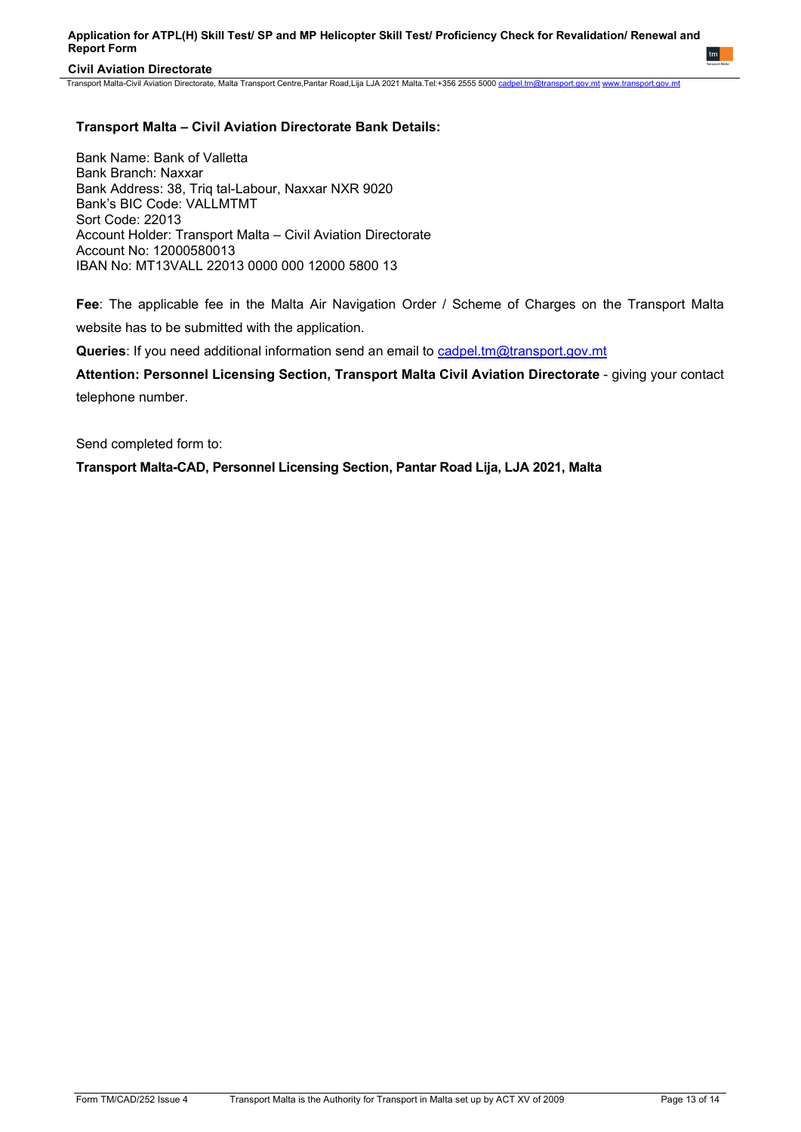## **Civil Aviation Directorate**

Transport Malta-Civil Aviation Directorate, Malta Transport Centre,Pantar Road,Lija LJA 2021 Malta.Tel:+356 2555 5000 [cadpel.tm@transport.gov.mt](mailto:cadpel.tm@transport.gov.mt) [www.transport.gov.mt](http://www.transport.gov.mt/)

## **Transport Malta – Civil Aviation Directorate Bank Details:**

Bank Name: Bank of Valletta Bank Branch: Naxxar Bank Address: 38, Triq tal-Labour, Naxxar NXR 9020 Bank's BIC Code: VALLMTMT Sort Code: 22013 Account Holder: Transport Malta – Civil Aviation Directorate Account No: 12000580013 IBAN No: MT13VALL 22013 0000 000 12000 5800 13

**Fee**: The applicable fee in the Malta Air Navigation Order / Scheme of Charges on the Transport Malta website has to be submitted with the application.

**Queries**: If you need additional information send an email to [cadpel.tm@transport.gov.mt](mailto:cadpel.tm@transport.gov.mt) 

Attention: Personnel Licensing Section, Transport Malta Civil Aviation Directorate - giving your contact telephone number.

Send completed form to:

**Transport Malta-CAD, Personnel Licensing Section, Pantar Road Lija, LJA 2021, Malta**